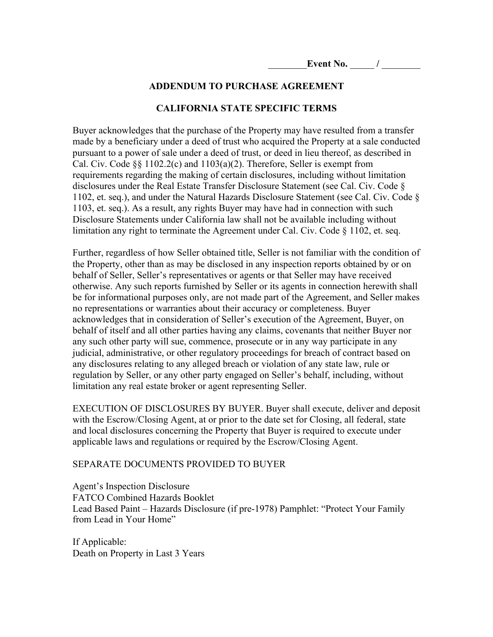## **ADDENDUM TO PURCHASE AGREEMENT**

### **CALIFORNIA STATE SPECIFIC TERMS**

Buyer acknowledges that the purchase of the Property may have resulted from a transfer made by a beneficiary under a deed of trust who acquired the Property at a sale conducted pursuant to a power of sale under a deed of trust, or deed in lieu thereof, as described in Cal. Civ. Code  $\S$  1102.2(c) and 1103(a)(2). Therefore, Seller is exempt from requirements regarding the making of certain disclosures, including without limitation disclosures under the Real Estate Transfer Disclosure Statement (see Cal. Civ. Code § 1102, et. seq.), and under the Natural Hazards Disclosure Statement (see Cal. Civ. Code § 1103, et. seq.). As a result, any rights Buyer may have had in connection with such Disclosure Statements under California law shall not be available including without limitation any right to terminate the Agreement under Cal. Civ. Code § 1102, et. seq.

Further, regardless of how Seller obtained title, Seller is not familiar with the condition of the Property, other than as may be disclosed in any inspection reports obtained by or on behalf of Seller, Seller's representatives or agents or that Seller may have received otherwise. Any such reports furnished by Seller or its agents in connection herewith shall be for informational purposes only, are not made part of the Agreement, and Seller makes no representations or warranties about their accuracy or completeness. Buyer acknowledges that in consideration of Seller's execution of the Agreement, Buyer, on behalf of itself and all other parties having any claims, covenants that neither Buyer nor any such other party will sue, commence, prosecute or in any way participate in any judicial, administrative, or other regulatory proceedings for breach of contract based on any disclosures relating to any alleged breach or violation of any state law, rule or regulation by Seller, or any other party engaged on Seller's behalf, including, without limitation any real estate broker or agent representing Seller.

EXECUTION OF DISCLOSURES BY BUYER. Buyer shall execute, deliver and deposit with the Escrow/Closing Agent, at or prior to the date set for Closing, all federal, state and local disclosures concerning the Property that Buyer is required to execute under applicable laws and regulations or required by the Escrow/Closing Agent.

#### SEPARATE DOCUMENTS PROVIDED TO BUYER

Agent's Inspection Disclosure FATCO Combined Hazards Booklet Lead Based Paint – Hazards Disclosure (if pre-1978) Pamphlet: "Protect Your Family from Lead in Your Home"

If Applicable: Death on Property in Last 3 Years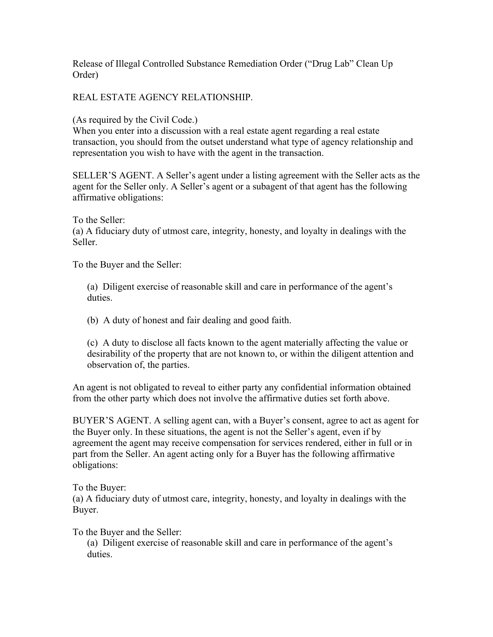Release of Illegal Controlled Substance Remediation Order ("Drug Lab" Clean Up Order)

#### REAL ESTATE AGENCY RELATIONSHIP.

(As required by the Civil Code.)

When you enter into a discussion with a real estate agent regarding a real estate transaction, you should from the outset understand what type of agency relationship and representation you wish to have with the agent in the transaction.

SELLER'S AGENT. A Seller's agent under a listing agreement with the Seller acts as the agent for the Seller only. A Seller's agent or a subagent of that agent has the following affirmative obligations:

To the Seller:

(a) A fiduciary duty of utmost care, integrity, honesty, and loyalty in dealings with the Seller.

To the Buyer and the Seller:

(a) Diligent exercise of reasonable skill and care in performance of the agent's duties.

(b) A duty of honest and fair dealing and good faith.

(c) A duty to disclose all facts known to the agent materially affecting the value or desirability of the property that are not known to, or within the diligent attention and observation of, the parties.

An agent is not obligated to reveal to either party any confidential information obtained from the other party which does not involve the affirmative duties set forth above.

BUYER'S AGENT. A selling agent can, with a Buyer's consent, agree to act as agent for the Buyer only. In these situations, the agent is not the Seller's agent, even if by agreement the agent may receive compensation for services rendered, either in full or in part from the Seller. An agent acting only for a Buyer has the following affirmative obligations:

To the Buyer:

(a) A fiduciary duty of utmost care, integrity, honesty, and loyalty in dealings with the Buyer.

To the Buyer and the Seller:

(a) Diligent exercise of reasonable skill and care in performance of the agent's duties.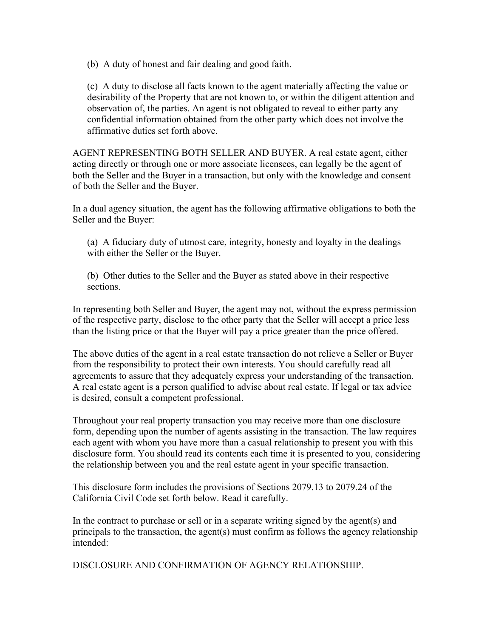(b) A duty of honest and fair dealing and good faith.

(c) A duty to disclose all facts known to the agent materially affecting the value or desirability of the Property that are not known to, or within the diligent attention and observation of, the parties. An agent is not obligated to reveal to either party any confidential information obtained from the other party which does not involve the affirmative duties set forth above.

AGENT REPRESENTING BOTH SELLER AND BUYER. A real estate agent, either acting directly or through one or more associate licensees, can legally be the agent of both the Seller and the Buyer in a transaction, but only with the knowledge and consent of both the Seller and the Buyer.

In a dual agency situation, the agent has the following affirmative obligations to both the Seller and the Buyer:

(a) A fiduciary duty of utmost care, integrity, honesty and loyalty in the dealings with either the Seller or the Buyer.

(b) Other duties to the Seller and the Buyer as stated above in their respective sections.

In representing both Seller and Buyer, the agent may not, without the express permission of the respective party, disclose to the other party that the Seller will accept a price less than the listing price or that the Buyer will pay a price greater than the price offered.

The above duties of the agent in a real estate transaction do not relieve a Seller or Buyer from the responsibility to protect their own interests. You should carefully read all agreements to assure that they adequately express your understanding of the transaction. A real estate agent is a person qualified to advise about real estate. If legal or tax advice is desired, consult a competent professional.

Throughout your real property transaction you may receive more than one disclosure form, depending upon the number of agents assisting in the transaction. The law requires each agent with whom you have more than a casual relationship to present you with this disclosure form. You should read its contents each time it is presented to you, considering the relationship between you and the real estate agent in your specific transaction.

This disclosure form includes the provisions of Sections 2079.13 to 2079.24 of the California Civil Code set forth below. Read it carefully.

In the contract to purchase or sell or in a separate writing signed by the agent(s) and principals to the transaction, the agent(s) must confirm as follows the agency relationship intended:

DISCLOSURE AND CONFIRMATION OF AGENCY RELATIONSHIP.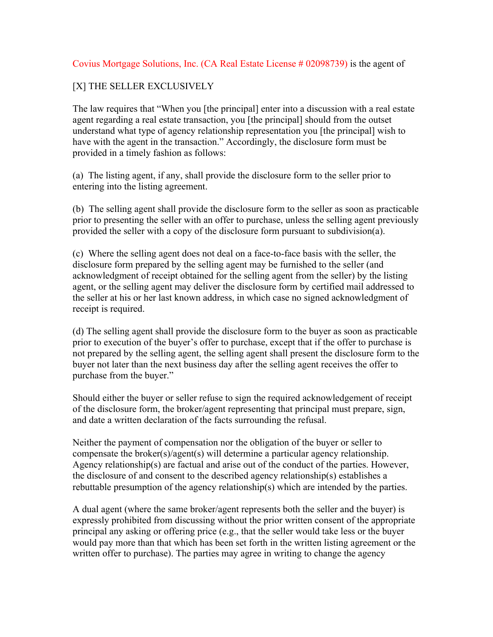### Covius Mortgage Solutions, Inc. (CA Real Estate License # 02098739) is the agent of

## [X] THE SELLER EXCLUSIVELY

The law requires that "When you [the principal] enter into a discussion with a real estate agent regarding a real estate transaction, you [the principal] should from the outset understand what type of agency relationship representation you [the principal] wish to have with the agent in the transaction." Accordingly, the disclosure form must be provided in a timely fashion as follows:

(a) The listing agent, if any, shall provide the disclosure form to the seller prior to entering into the listing agreement.

(b) The selling agent shall provide the disclosure form to the seller as soon as practicable prior to presenting the seller with an offer to purchase, unless the selling agent previously provided the seller with a copy of the disclosure form pursuant to subdivision(a).

(c) Where the selling agent does not deal on a face-to-face basis with the seller, the disclosure form prepared by the selling agent may be furnished to the seller (and acknowledgment of receipt obtained for the selling agent from the seller) by the listing agent, or the selling agent may deliver the disclosure form by certified mail addressed to the seller at his or her last known address, in which case no signed acknowledgment of receipt is required.

(d) The selling agent shall provide the disclosure form to the buyer as soon as practicable prior to execution of the buyer's offer to purchase, except that if the offer to purchase is not prepared by the selling agent, the selling agent shall present the disclosure form to the buyer not later than the next business day after the selling agent receives the offer to purchase from the buyer."

Should either the buyer or seller refuse to sign the required acknowledgement of receipt of the disclosure form, the broker/agent representing that principal must prepare, sign, and date a written declaration of the facts surrounding the refusal.

Neither the payment of compensation nor the obligation of the buyer or seller to compensate the broker(s)/agent(s) will determine a particular agency relationship. Agency relationship(s) are factual and arise out of the conduct of the parties. However, the disclosure of and consent to the described agency relationship(s) establishes a rebuttable presumption of the agency relationship(s) which are intended by the parties.

A dual agent (where the same broker/agent represents both the seller and the buyer) is expressly prohibited from discussing without the prior written consent of the appropriate principal any asking or offering price (e.g., that the seller would take less or the buyer would pay more than that which has been set forth in the written listing agreement or the written offer to purchase). The parties may agree in writing to change the agency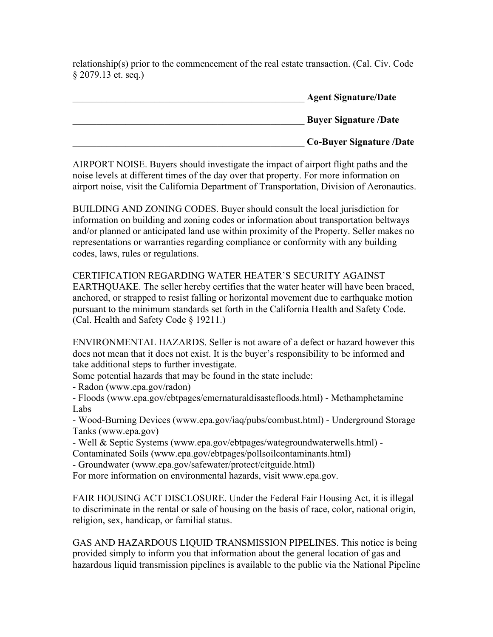relationship(s) prior to the commencement of the real estate transaction. (Cal. Civ. Code § 2079.13 et. seq.)

| <b>Agent Signature/Date</b>     |
|---------------------------------|
| <b>Buyer Signature /Date</b>    |
| <b>Co-Buyer Signature /Date</b> |

AIRPORT NOISE. Buyers should investigate the impact of airport flight paths and the noise levels at different times of the day over that property. For more information on airport noise, visit the California Department of Transportation, Division of Aeronautics.

BUILDING AND ZONING CODES. Buyer should consult the local jurisdiction for information on building and zoning codes or information about transportation beltways and/or planned or anticipated land use within proximity of the Property. Seller makes no representations or warranties regarding compliance or conformity with any building codes, laws, rules or regulations.

CERTIFICATION REGARDING WATER HEATER'S SECURITY AGAINST EARTHQUAKE. The seller hereby certifies that the water heater will have been braced, anchored, or strapped to resist falling or horizontal movement due to earthquake motion pursuant to the minimum standards set forth in the California Health and Safety Code. (Cal. Health and Safety Code § 19211.)

ENVIRONMENTAL HAZARDS. Seller is not aware of a defect or hazard however this does not mean that it does not exist. It is the buyer's responsibility to be informed and take additional steps to further investigate.

Some potential hazards that may be found in the state include:

- Radon (www.epa.gov/radon)

- Floods (www.epa.gov/ebtpages/emernaturaldisastefloods.html) - Methamphetamine Labs

- Wood-Burning Devices (www.epa.gov/iaq/pubs/combust.html) - Underground Storage Tanks (www.epa.gov)

- Well & Septic Systems (www.epa.gov/ebtpages/wategroundwaterwells.html) -

Contaminated Soils (www.epa.gov/ebtpages/pollsoilcontaminants.html)

- Groundwater (www.epa.gov/safewater/protect/citguide.html)

For more information on environmental hazards, visit www.epa.gov.

FAIR HOUSING ACT DISCLOSURE. Under the Federal Fair Housing Act, it is illegal to discriminate in the rental or sale of housing on the basis of race, color, national origin, religion, sex, handicap, or familial status.

GAS AND HAZARDOUS LIQUID TRANSMISSION PIPELINES. This notice is being provided simply to inform you that information about the general location of gas and hazardous liquid transmission pipelines is available to the public via the National Pipeline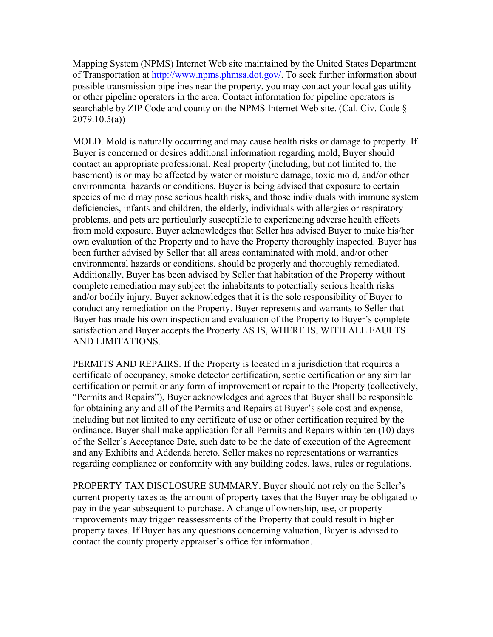Mapping System (NPMS) Internet Web site maintained by the United States Department of Transportation at http://www.npms.phmsa.dot.gov/. To seek further information about possible transmission pipelines near the property, you may contact your local gas utility or other pipeline operators in the area. Contact information for pipeline operators is searchable by ZIP Code and county on the NPMS Internet Web site. (Cal. Civ. Code § 2079.10.5(a))

MOLD. Mold is naturally occurring and may cause health risks or damage to property. If Buyer is concerned or desires additional information regarding mold, Buyer should contact an appropriate professional. Real property (including, but not limited to, the basement) is or may be affected by water or moisture damage, toxic mold, and/or other environmental hazards or conditions. Buyer is being advised that exposure to certain species of mold may pose serious health risks, and those individuals with immune system deficiencies, infants and children, the elderly, individuals with allergies or respiratory problems, and pets are particularly susceptible to experiencing adverse health effects from mold exposure. Buyer acknowledges that Seller has advised Buyer to make his/her own evaluation of the Property and to have the Property thoroughly inspected. Buyer has been further advised by Seller that all areas contaminated with mold, and/or other environmental hazards or conditions, should be properly and thoroughly remediated. Additionally, Buyer has been advised by Seller that habitation of the Property without complete remediation may subject the inhabitants to potentially serious health risks and/or bodily injury. Buyer acknowledges that it is the sole responsibility of Buyer to conduct any remediation on the Property. Buyer represents and warrants to Seller that Buyer has made his own inspection and evaluation of the Property to Buyer's complete satisfaction and Buyer accepts the Property AS IS, WHERE IS, WITH ALL FAULTS AND LIMITATIONS.

PERMITS AND REPAIRS. If the Property is located in a jurisdiction that requires a certificate of occupancy, smoke detector certification, septic certification or any similar certification or permit or any form of improvement or repair to the Property (collectively, "Permits and Repairs"), Buyer acknowledges and agrees that Buyer shall be responsible for obtaining any and all of the Permits and Repairs at Buyer's sole cost and expense, including but not limited to any certificate of use or other certification required by the ordinance. Buyer shall make application for all Permits and Repairs within ten (10) days of the Seller's Acceptance Date, such date to be the date of execution of the Agreement and any Exhibits and Addenda hereto. Seller makes no representations or warranties regarding compliance or conformity with any building codes, laws, rules or regulations.

PROPERTY TAX DISCLOSURE SUMMARY. Buyer should not rely on the Seller's current property taxes as the amount of property taxes that the Buyer may be obligated to pay in the year subsequent to purchase. A change of ownership, use, or property improvements may trigger reassessments of the Property that could result in higher property taxes. If Buyer has any questions concerning valuation, Buyer is advised to contact the county property appraiser's office for information.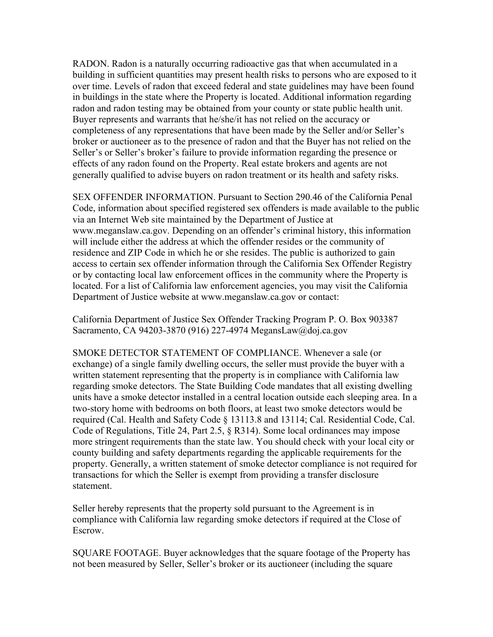RADON. Radon is a naturally occurring radioactive gas that when accumulated in a building in sufficient quantities may present health risks to persons who are exposed to it over time. Levels of radon that exceed federal and state guidelines may have been found in buildings in the state where the Property is located. Additional information regarding radon and radon testing may be obtained from your county or state public health unit. Buyer represents and warrants that he/she/it has not relied on the accuracy or completeness of any representations that have been made by the Seller and/or Seller's broker or auctioneer as to the presence of radon and that the Buyer has not relied on the Seller's or Seller's broker's failure to provide information regarding the presence or effects of any radon found on the Property. Real estate brokers and agents are not generally qualified to advise buyers on radon treatment or its health and safety risks.

SEX OFFENDER INFORMATION. Pursuant to Section 290.46 of the California Penal Code, information about specified registered sex offenders is made available to the public via an Internet Web site maintained by the Department of Justice at www.meganslaw.ca.gov. Depending on an offender's criminal history, this information will include either the address at which the offender resides or the community of residence and ZIP Code in which he or she resides. The public is authorized to gain access to certain sex offender information through the California Sex Offender Registry or by contacting local law enforcement offices in the community where the Property is located. For a list of California law enforcement agencies, you may visit the California Department of Justice website at www.meganslaw.ca.gov or contact:

California Department of Justice Sex Offender Tracking Program P. O. Box 903387 Sacramento, CA 94203-3870 (916) 227-4974 MegansLaw@doj.ca.gov

SMOKE DETECTOR STATEMENT OF COMPLIANCE. Whenever a sale (or exchange) of a single family dwelling occurs, the seller must provide the buyer with a written statement representing that the property is in compliance with California law regarding smoke detectors. The State Building Code mandates that all existing dwelling units have a smoke detector installed in a central location outside each sleeping area. In a two-story home with bedrooms on both floors, at least two smoke detectors would be required (Cal. Health and Safety Code § 13113.8 and 13114; Cal. Residential Code, Cal. Code of Regulations, Title 24, Part 2.5, § R314). Some local ordinances may impose more stringent requirements than the state law. You should check with your local city or county building and safety departments regarding the applicable requirements for the property. Generally, a written statement of smoke detector compliance is not required for transactions for which the Seller is exempt from providing a transfer disclosure statement.

Seller hereby represents that the property sold pursuant to the Agreement is in compliance with California law regarding smoke detectors if required at the Close of Escrow.

SQUARE FOOTAGE. Buyer acknowledges that the square footage of the Property has not been measured by Seller, Seller's broker or its auctioneer (including the square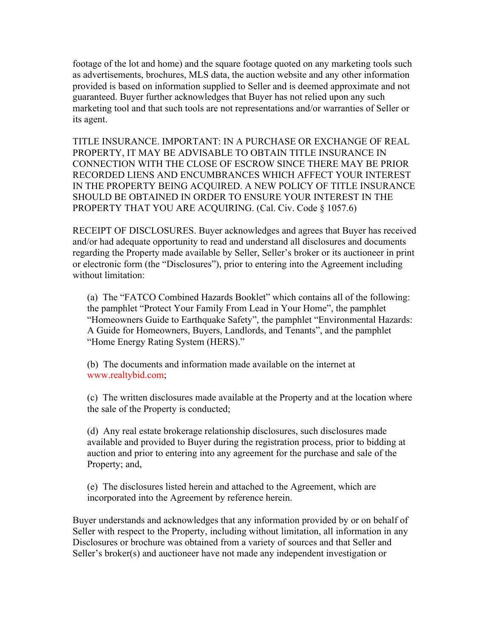footage of the lot and home) and the square footage quoted on any marketing tools such as advertisements, brochures, MLS data, the auction website and any other information provided is based on information supplied to Seller and is deemed approximate and not guaranteed. Buyer further acknowledges that Buyer has not relied upon any such marketing tool and that such tools are not representations and/or warranties of Seller or its agent.

TITLE INSURANCE. IMPORTANT: IN A PURCHASE OR EXCHANGE OF REAL PROPERTY, IT MAY BE ADVISABLE TO OBTAIN TITLE INSURANCE IN CONNECTION WITH THE CLOSE OF ESCROW SINCE THERE MAY BE PRIOR RECORDED LIENS AND ENCUMBRANCES WHICH AFFECT YOUR INTEREST IN THE PROPERTY BEING ACQUIRED. A NEW POLICY OF TITLE INSURANCE SHOULD BE OBTAINED IN ORDER TO ENSURE YOUR INTEREST IN THE PROPERTY THAT YOU ARE ACQUIRING. (Cal. Civ. Code § 1057.6)

RECEIPT OF DISCLOSURES. Buyer acknowledges and agrees that Buyer has received and/or had adequate opportunity to read and understand all disclosures and documents regarding the Property made available by Seller, Seller's broker or its auctioneer in print or electronic form (the "Disclosures"), prior to entering into the Agreement including without limitation:

(a) The "FATCO Combined Hazards Booklet" which contains all of the following: the pamphlet "Protect Your Family From Lead in Your Home", the pamphlet "Homeowners Guide to Earthquake Safety", the pamphlet "Environmental Hazards: A Guide for Homeowners, Buyers, Landlords, and Tenants", and the pamphlet "Home Energy Rating System (HERS)."

(b) The documents and information made available on the internet at www.realtybid.com;

(c) The written disclosures made available at the Property and at the location where the sale of the Property is conducted;

(d) Any real estate brokerage relationship disclosures, such disclosures made available and provided to Buyer during the registration process, prior to bidding at auction and prior to entering into any agreement for the purchase and sale of the Property; and,

(e) The disclosures listed herein and attached to the Agreement, which are incorporated into the Agreement by reference herein.

Buyer understands and acknowledges that any information provided by or on behalf of Seller with respect to the Property, including without limitation, all information in any Disclosures or brochure was obtained from a variety of sources and that Seller and Seller's broker(s) and auctioneer have not made any independent investigation or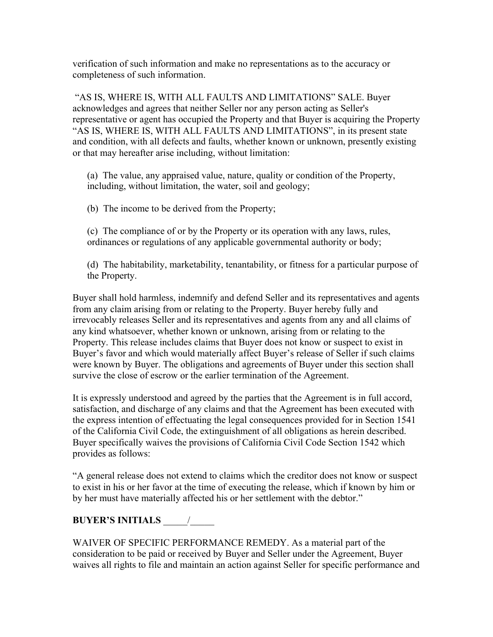verification of such information and make no representations as to the accuracy or completeness of such information.

"AS IS, WHERE IS, WITH ALL FAULTS AND LIMITATIONS" SALE. Buyer acknowledges and agrees that neither Seller nor any person acting as Seller's representative or agent has occupied the Property and that Buyer is acquiring the Property "AS IS, WHERE IS, WITH ALL FAULTS AND LIMITATIONS", in its present state and condition, with all defects and faults, whether known or unknown, presently existing or that may hereafter arise including, without limitation:

(a) The value, any appraised value, nature, quality or condition of the Property, including, without limitation, the water, soil and geology;

(b) The income to be derived from the Property;

(c) The compliance of or by the Property or its operation with any laws, rules, ordinances or regulations of any applicable governmental authority or body;

(d) The habitability, marketability, tenantability, or fitness for a particular purpose of the Property.

Buyer shall hold harmless, indemnify and defend Seller and its representatives and agents from any claim arising from or relating to the Property. Buyer hereby fully and irrevocably releases Seller and its representatives and agents from any and all claims of any kind whatsoever, whether known or unknown, arising from or relating to the Property. This release includes claims that Buyer does not know or suspect to exist in Buyer's favor and which would materially affect Buyer's release of Seller if such claims were known by Buyer. The obligations and agreements of Buyer under this section shall survive the close of escrow or the earlier termination of the Agreement.

It is expressly understood and agreed by the parties that the Agreement is in full accord, satisfaction, and discharge of any claims and that the Agreement has been executed with the express intention of effectuating the legal consequences provided for in Section 1541 of the California Civil Code, the extinguishment of all obligations as herein described. Buyer specifically waives the provisions of California Civil Code Section 1542 which provides as follows:

"A general release does not extend to claims which the creditor does not know or suspect to exist in his or her favor at the time of executing the release, which if known by him or by her must have materially affected his or her settlement with the debtor."

# **BUYER'S INITIALS** \_\_\_\_\_/\_\_\_\_\_

WAIVER OF SPECIFIC PERFORMANCE REMEDY. As a material part of the consideration to be paid or received by Buyer and Seller under the Agreement, Buyer waives all rights to file and maintain an action against Seller for specific performance and